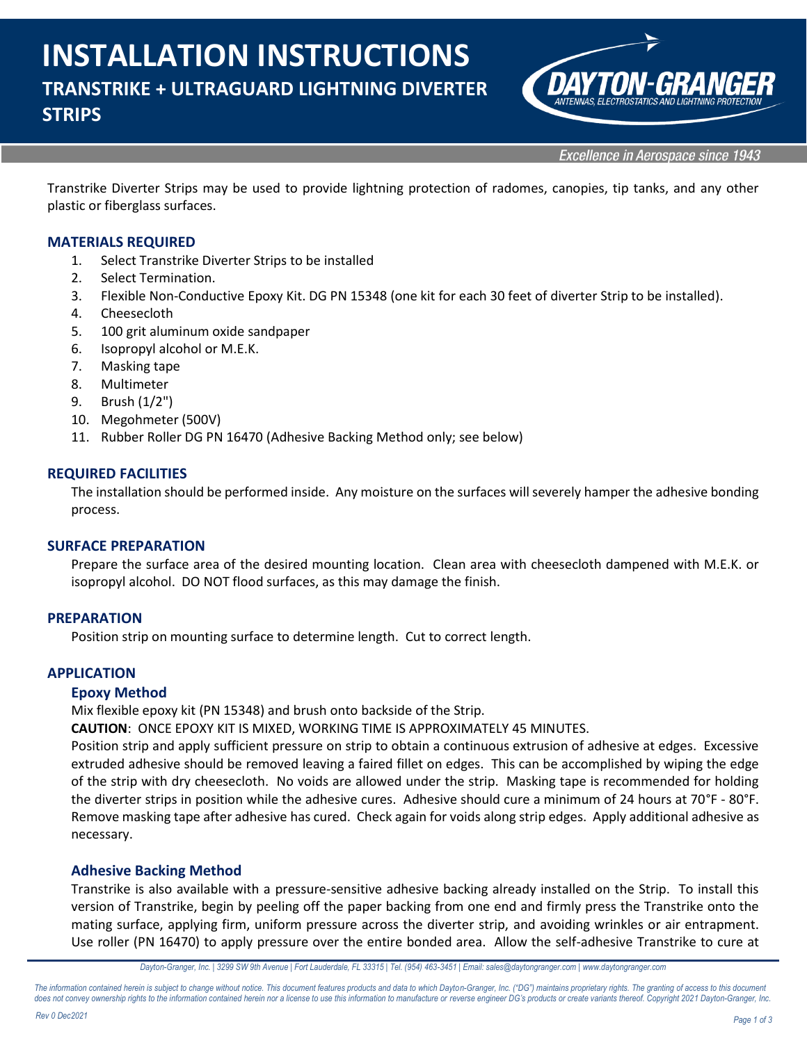

**Excellence in Aerospace since 1943** 

Transtrike Diverter Strips may be used to provide lightning protection of radomes, canopies, tip tanks, and any other plastic or fiberglass surfaces.

## **MATERIALS REQUIRED**

- 1. Select Transtrike Diverter Strips to be installed
- 2. Select Termination.
- 3. Flexible Non-Conductive Epoxy Kit. DG PN 15348 (one kit for each 30 feet of diverter Strip to be installed).
- 4. Cheesecloth
- 5. 100 grit aluminum oxide sandpaper
- 6. Isopropyl alcohol or M.E.K.
- 7. Masking tape
- 8. Multimeter
- 9. Brush (1/2")
- 10. Megohmeter (500V)
- 11. Rubber Roller DG PN 16470 (Adhesive Backing Method only; see below)

#### **REQUIRED FACILITIES**

The installation should be performed inside. Any moisture on the surfaces will severely hamper the adhesive bonding process.

#### **SURFACE PREPARATION**

Prepare the surface area of the desired mounting location. Clean area with cheesecloth dampened with M.E.K. or isopropyl alcohol. DO NOT flood surfaces, as this may damage the finish.

#### **PREPARATION**

Position strip on mounting surface to determine length. Cut to correct length.

#### **APPLICATION**

#### **Epoxy Method**

Mix flexible epoxy kit (PN 15348) and brush onto backside of the Strip.

**CAUTION**: ONCE EPOXY KIT IS MIXED, WORKING TIME IS APPROXIMATELY 45 MINUTES.

Position strip and apply sufficient pressure on strip to obtain a continuous extrusion of adhesive at edges. Excessive extruded adhesive should be removed leaving a faired fillet on edges. This can be accomplished by wiping the edge of the strip with dry cheesecloth. No voids are allowed under the strip. Masking tape is recommended for holding the diverter strips in position while the adhesive cures. Adhesive should cure a minimum of 24 hours at 70°F - 80°F. Remove masking tape after adhesive has cured. Check again for voids along strip edges. Apply additional adhesive as necessary.

#### **Adhesive Backing Method**

Transtrike is also available with a pressure-sensitive adhesive backing already installed on the Strip. To install this version of Transtrike, begin by peeling off the paper backing from one end and firmly press the Transtrike onto the mating surface, applying firm, uniform pressure across the diverter strip, and avoiding wrinkles or air entrapment. Use roller (PN 16470) to apply pressure over the entire bonded area. Allow the self-adhesive Transtrike to cure at

The information contained herein is subject to change without notice. This document features products and data to which Dayton-Granger, Inc. ("DG") maintains proprietary rights. The granting of access to this document does not convey ownership rights to the information contained herein nor a license to use this information to manufacture or reverse engineer DG's products or create variants thereof. Copyright 2021 Dayton-Granger, Inc.

*Dayton-Granger, Inc. | 3299 SW 9th Avenue | Fort Lauderdale, FL 33315 | Tel. (954) 463-3451 | Email: sales@daytongranger.com [| www.daytongranger.com](http://www.daytongranger.com/)*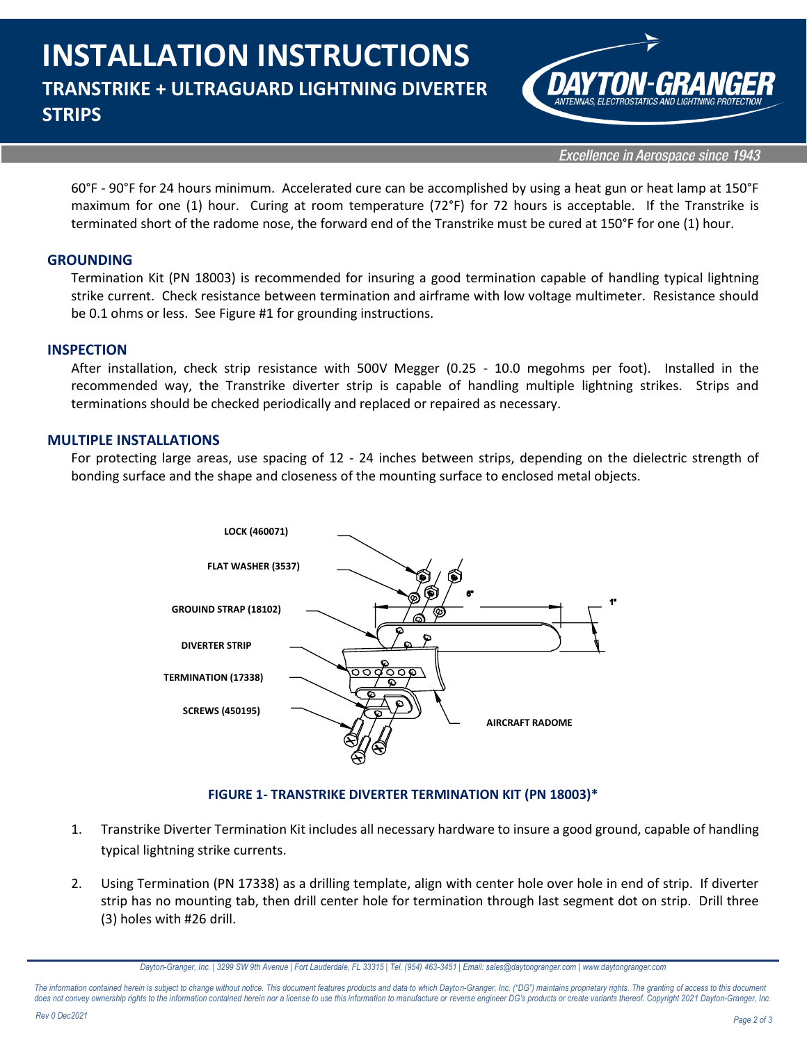

**Excellence in Aerospace since 1943** 

60°F - 90°F for 24 hours minimum. Accelerated cure can be accomplished by using a heat gun or heat lamp at 150°F maximum for one (1) hour. Curing at room temperature (72°F) for 72 hours is acceptable. If the Transtrike is terminated short of the radome nose, the forward end of the Transtrike must be cured at 150°F for one (1) hour.

### **GROUNDING**

Termination Kit (PN 18003) is recommended for insuring a good termination capable of handling typical lightning strike current. Check resistance between termination and airframe with low voltage multimeter. Resistance should be 0.1 ohms or less. See Figure #1 for grounding instructions.

#### **INSPECTION**

After installation, check strip resistance with 500V Megger (0.25 - 10.0 megohms per foot). Installed in the recommended way, the Transtrike diverter strip is capable of handling multiple lightning strikes. Strips and terminations should be checked periodically and replaced or repaired as necessary.

#### **MULTIPLE INSTALLATIONS**

For protecting large areas, use spacing of 12 - 24 inches between strips, depending on the dielectric strength of bonding surface and the shape and closeness of the mounting surface to enclosed metal objects.



## **FIGURE 1- TRANSTRIKE DIVERTER TERMINATION KIT (PN 18003)\***

- 1. Transtrike Diverter Termination Kit includes all necessary hardware to insure a good ground, capable of handling typical lightning strike currents.
- 2. Using Termination (PN 17338) as a drilling template, align with center hole over hole in end of strip. If diverter strip has no mounting tab, then drill center hole for termination through last segment dot on strip. Drill three (3) holes with #26 drill.

The information contained herein is subject to change without notice. This document features products and data to which Dayton-Granger, Inc. ("DG") maintains proprietary rights. The granting of access to this document does not convey ownership rights to the information contained herein nor a license to use this information to manufacture or reverse engineer DG's products or create variants thereof. Copyright 2021 Dayton-Granger, Inc.

*Dayton-Granger, Inc. | 3299 SW 9th Avenue | Fort Lauderdale, FL 33315 | Tel. (954) 463-3451 | Email: sales@daytongranger.com [| www.daytongranger.com](http://www.daytongranger.com/)*